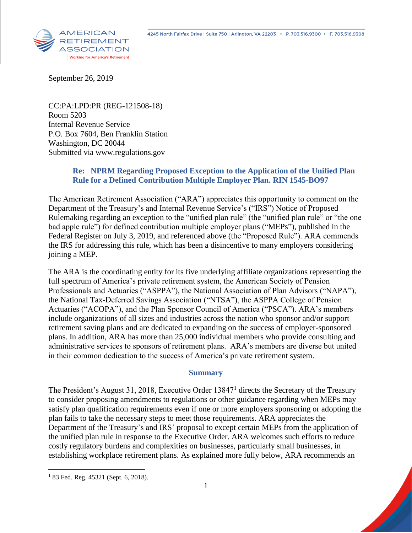

September 26, 2019

CC:PA:LPD:PR (REG-121508-18) Room 5203 Internal Revenue Service P.O. Box 7604, Ben Franklin Station Washington, DC 20044 Submitted via www.regulations.gov

# **Re: NPRM Regarding Proposed Exception to the Application of the Unified Plan Rule for a Defined Contribution Multiple Employer Plan. RIN 1545-BO97**

The American Retirement Association ("ARA") appreciates this opportunity to comment on the Department of the Treasury's and Internal Revenue Service's ("IRS") Notice of Proposed Rulemaking regarding an exception to the "unified plan rule" (the "unified plan rule" or "the one bad apple rule") for defined contribution multiple employer plans ("MEPs"), published in the Federal Register on July 3, 2019, and referenced above (the "Proposed Rule"). ARA commends the IRS for addressing this rule, which has been a disincentive to many employers considering joining a MEP.

The ARA is the coordinating entity for its five underlying affiliate organizations representing the full spectrum of America's private retirement system, the American Society of Pension Professionals and Actuaries ("ASPPA"), the National Association of Plan Advisors ("NAPA"), the National Tax-Deferred Savings Association ("NTSA"), the ASPPA College of Pension Actuaries ("ACOPA"), and the Plan Sponsor Council of America ("PSCA"). ARA's members include organizations of all sizes and industries across the nation who sponsor and/or support retirement saving plans and are dedicated to expanding on the success of employer-sponsored plans. In addition, ARA has more than 25,000 individual members who provide consulting and administrative services to sponsors of retirement plans. ARA's members are diverse but united in their common dedication to the success of America's private retirement system.

#### **Summary**

The President's August 31, 2018, Executive Order 13847<sup>1</sup> directs the Secretary of the Treasury to consider proposing amendments to regulations or other guidance regarding when MEPs may satisfy plan qualification requirements even if one or more employers sponsoring or adopting the plan fails to take the necessary steps to meet those requirements. ARA appreciates the Department of the Treasury's and IRS' proposal to except certain MEPs from the application of the unified plan rule in response to the Executive Order. ARA welcomes such efforts to reduce costly regulatory burdens and complexities on businesses, particularly small businesses, in establishing workplace retirement plans. As explained more fully below, ARA recommends an

 $\overline{a}$ 

<sup>&</sup>lt;sup>1</sup> 83 Fed. Reg. 45321 (Sept. 6, 2018).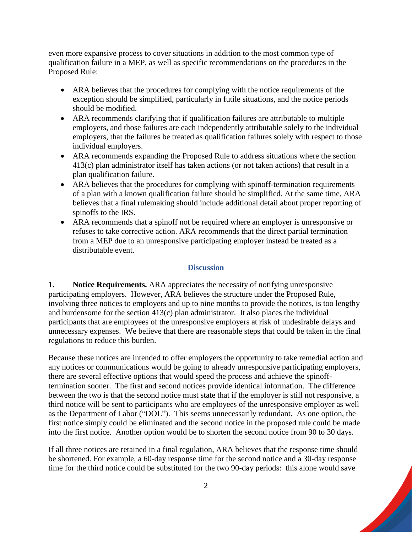even more expansive process to cover situations in addition to the most common type of qualification failure in a MEP, as well as specific recommendations on the procedures in the Proposed Rule:

- ARA believes that the procedures for complying with the notice requirements of the exception should be simplified, particularly in futile situations, and the notice periods should be modified.
- ARA recommends clarifying that if qualification failures are attributable to multiple employers, and those failures are each independently attributable solely to the individual employers, that the failures be treated as qualification failures solely with respect to those individual employers.
- ARA recommends expanding the Proposed Rule to address situations where the section 413(c) plan administrator itself has taken actions (or not taken actions) that result in a plan qualification failure.
- ARA believes that the procedures for complying with spinoff-termination requirements of a plan with a known qualification failure should be simplified. At the same time, ARA believes that a final rulemaking should include additional detail about proper reporting of spinoffs to the IRS.
- ARA recommends that a spinoff not be required where an employer is unresponsive or refuses to take corrective action. ARA recommends that the direct partial termination from a MEP due to an unresponsive participating employer instead be treated as a distributable event.

### **Discussion**

**1. Notice Requirements.** ARA appreciates the necessity of notifying unresponsive participating employers. However, ARA believes the structure under the Proposed Rule, involving three notices to employers and up to nine months to provide the notices, is too lengthy and burdensome for the section 413(c) plan administrator. It also places the individual participants that are employees of the unresponsive employers at risk of undesirable delays and unnecessary expenses. We believe that there are reasonable steps that could be taken in the final regulations to reduce this burden.

Because these notices are intended to offer employers the opportunity to take remedial action and any notices or communications would be going to already unresponsive participating employers, there are several effective options that would speed the process and achieve the spinofftermination sooner. The first and second notices provide identical information. The difference between the two is that the second notice must state that if the employer is still not responsive, a third notice will be sent to participants who are employees of the unresponsive employer as well as the Department of Labor ("DOL"). This seems unnecessarily redundant. As one option, the first notice simply could be eliminated and the second notice in the proposed rule could be made into the first notice. Another option would be to shorten the second notice from 90 to 30 days.

If all three notices are retained in a final regulation, ARA believes that the response time should be shortened. For example, a 60-day response time for the second notice and a 30-day response time for the third notice could be substituted for the two 90-day periods: this alone would save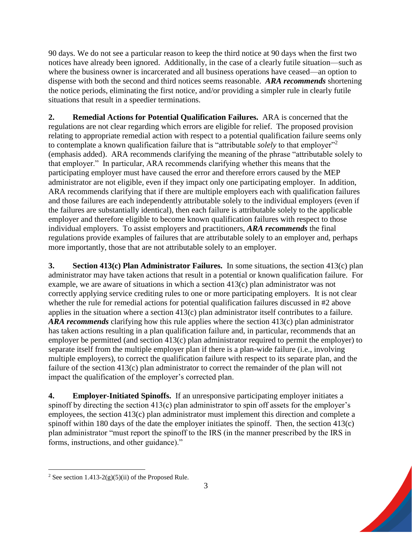90 days. We do not see a particular reason to keep the third notice at 90 days when the first two notices have already been ignored. Additionally, in the case of a clearly futile situation—such as where the business owner is incarcerated and all business operations have ceased—an option to dispense with both the second and third notices seems reasonable. *ARA recommends* shortening the notice periods, eliminating the first notice, and/or providing a simpler rule in clearly futile situations that result in a speedier terminations.

**2. Remedial Actions for Potential Qualification Failures.** ARA is concerned that the regulations are not clear regarding which errors are eligible for relief. The proposed provision relating to appropriate remedial action with respect to a potential qualification failure seems only to contemplate a known qualification failure that is "attributable *solely* to that employer"<sup>2</sup> (emphasis added). ARA recommends clarifying the meaning of the phrase "attributable solely to that employer." In particular, ARA recommends clarifying whether this means that the participating employer must have caused the error and therefore errors caused by the MEP administrator are not eligible, even if they impact only one participating employer. In addition, ARA recommends clarifying that if there are multiple employers each with qualification failures and those failures are each independently attributable solely to the individual employers (even if the failures are substantially identical), then each failure is attributable solely to the applicable employer and therefore eligible to become known qualification failures with respect to those individual employers. To assist employers and practitioners, *ARA recommends* the final regulations provide examples of failures that are attributable solely to an employer and, perhaps more importantly, those that are not attributable solely to an employer.

**3. Section 413(c) Plan Administrator Failures.** In some situations, the section 413(c) plan administrator may have taken actions that result in a potential or known qualification failure. For example, we are aware of situations in which a section 413(c) plan administrator was not correctly applying service crediting rules to one or more participating employers. It is not clear whether the rule for remedial actions for potential qualification failures discussed in #2 above applies in the situation where a section 413(c) plan administrator itself contributes to a failure. *ARA recommends* clarifying how this rule applies where the section 413(c) plan administrator has taken actions resulting in a plan qualification failure and, in particular, recommends that an employer be permitted (and section 413(c) plan administrator required to permit the employer) to separate itself from the multiple employer plan if there is a plan-wide failure (i.e., involving multiple employers), to correct the qualification failure with respect to its separate plan, and the failure of the section 413(c) plan administrator to correct the remainder of the plan will not impact the qualification of the employer's corrected plan.

**4. Employer-Initiated Spinoffs.** If an unresponsive participating employer initiates a spinoff by directing the section 413(c) plan administrator to spin off assets for the employer's employees, the section 413(c) plan administrator must implement this direction and complete a spinoff within 180 days of the date the employer initiates the spinoff. Then, the section 413(c) plan administrator "must report the spinoff to the IRS (in the manner prescribed by the IRS in forms, instructions, and other guidance)."

 $\overline{a}$ 

<sup>&</sup>lt;sup>2</sup> See section 1.413-2(g)(5)(ii) of the Proposed Rule.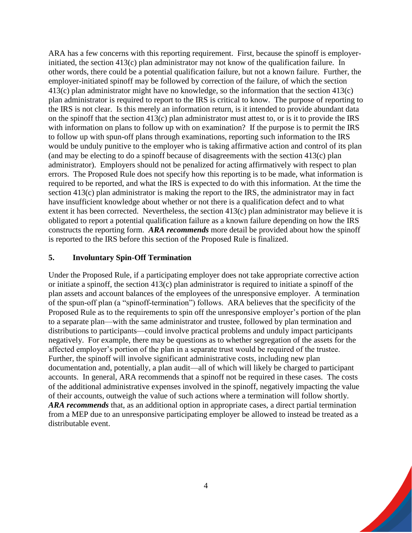ARA has a few concerns with this reporting requirement. First, because the spinoff is employerinitiated, the section 413(c) plan administrator may not know of the qualification failure. In other words, there could be a potential qualification failure, but not a known failure. Further, the employer-initiated spinoff may be followed by correction of the failure, of which the section 413(c) plan administrator might have no knowledge, so the information that the section 413(c) plan administrator is required to report to the IRS is critical to know. The purpose of reporting to the IRS is not clear. Is this merely an information return, is it intended to provide abundant data on the spinoff that the section 413(c) plan administrator must attest to, or is it to provide the IRS with information on plans to follow up with on examination? If the purpose is to permit the IRS to follow up with spun-off plans through examinations, reporting such information to the IRS would be unduly punitive to the employer who is taking affirmative action and control of its plan (and may be electing to do a spinoff because of disagreements with the section 413(c) plan administrator). Employers should not be penalized for acting affirmatively with respect to plan errors. The Proposed Rule does not specify how this reporting is to be made, what information is required to be reported, and what the IRS is expected to do with this information. At the time the section 413(c) plan administrator is making the report to the IRS, the administrator may in fact have insufficient knowledge about whether or not there is a qualification defect and to what extent it has been corrected. Nevertheless, the section 413(c) plan administrator may believe it is obligated to report a potential qualification failure as a known failure depending on how the IRS constructs the reporting form. *ARA recommends* more detail be provided about how the spinoff is reported to the IRS before this section of the Proposed Rule is finalized.

#### **5. Involuntary Spin-Off Termination**

Under the Proposed Rule, if a participating employer does not take appropriate corrective action or initiate a spinoff, the section 413(c) plan administrator is required to initiate a spinoff of the plan assets and account balances of the employees of the unresponsive employer. A termination of the spun-off plan (a "spinoff-termination") follows. ARA believes that the specificity of the Proposed Rule as to the requirements to spin off the unresponsive employer's portion of the plan to a separate plan—with the same administrator and trustee, followed by plan termination and distributions to participants—could involve practical problems and unduly impact participants negatively. For example, there may be questions as to whether segregation of the assets for the affected employer's portion of the plan in a separate trust would be required of the trustee. Further, the spinoff will involve significant administrative costs, including new plan documentation and, potentially, a plan audit—all of which will likely be charged to participant accounts. In general, ARA recommends that a spinoff not be required in these cases. The costs of the additional administrative expenses involved in the spinoff, negatively impacting the value of their accounts, outweigh the value of such actions where a termination will follow shortly. *ARA recommends* that, as an additional option in appropriate cases, a direct partial termination from a MEP due to an unresponsive participating employer be allowed to instead be treated as a distributable event.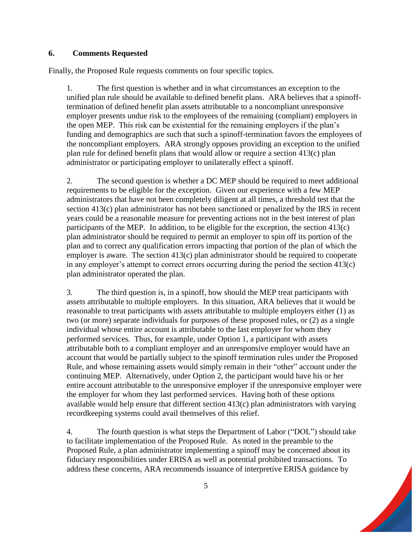## **6. Comments Requested**

Finally, the Proposed Rule requests comments on four specific topics.

1. The first question is whether and in what circumstances an exception to the unified plan rule should be available to defined benefit plans. ARA believes that a spinofftermination of defined benefit plan assets attributable to a noncompliant unresponsive employer presents undue risk to the employees of the remaining (compliant) employers in the open MEP. This risk can be existential for the remaining employers if the plan's funding and demographics are such that such a spinoff-termination favors the employees of the noncompliant employers. ARA strongly opposes providing an exception to the unified plan rule for defined benefit plans that would allow or require a section 413(c) plan administrator or participating employer to unilaterally effect a spinoff.

2. The second question is whether a DC MEP should be required to meet additional requirements to be eligible for the exception. Given our experience with a few MEP administrators that have not been completely diligent at all times, a threshold test that the section 413(c) plan administrator has not been sanctioned or penalized by the IRS in recent years could be a reasonable measure for preventing actions not in the best interest of plan participants of the MEP. In addition, to be eligible for the exception, the section 413(c) plan administrator should be required to permit an employer to spin off its portion of the plan and to correct any qualification errors impacting that portion of the plan of which the employer is aware. The section 413(c) plan administrator should be required to cooperate in any employer's attempt to correct errors occurring during the period the section 413(c) plan administrator operated the plan.

3. The third question is, in a spinoff, how should the MEP treat participants with assets attributable to multiple employers. In this situation, ARA believes that it would be reasonable to treat participants with assets attributable to multiple employers either (1) as two (or more) separate individuals for purposes of these proposed rules, or (2) as a single individual whose entire account is attributable to the last employer for whom they performed services. Thus, for example, under Option 1, a participant with assets attributable both to a compliant employer and an unresponsive employer would have an account that would be partially subject to the spinoff termination rules under the Proposed Rule, and whose remaining assets would simply remain in their "other" account under the continuing MEP. Alternatively, under Option 2, the participant would have his or her entire account attributable to the unresponsive employer if the unresponsive employer were the employer for whom they last performed services. Having both of these options available would help ensure that different section 413(c) plan administrators with varying recordkeeping systems could avail themselves of this relief.

4. The fourth question is what steps the Department of Labor ("DOL") should take to facilitate implementation of the Proposed Rule. As noted in the preamble to the Proposed Rule, a plan administrator implementing a spinoff may be concerned about its fiduciary responsibilities under ERISA as well as potential prohibited transactions. To address these concerns, ARA recommends issuance of interpretive ERISA guidance by